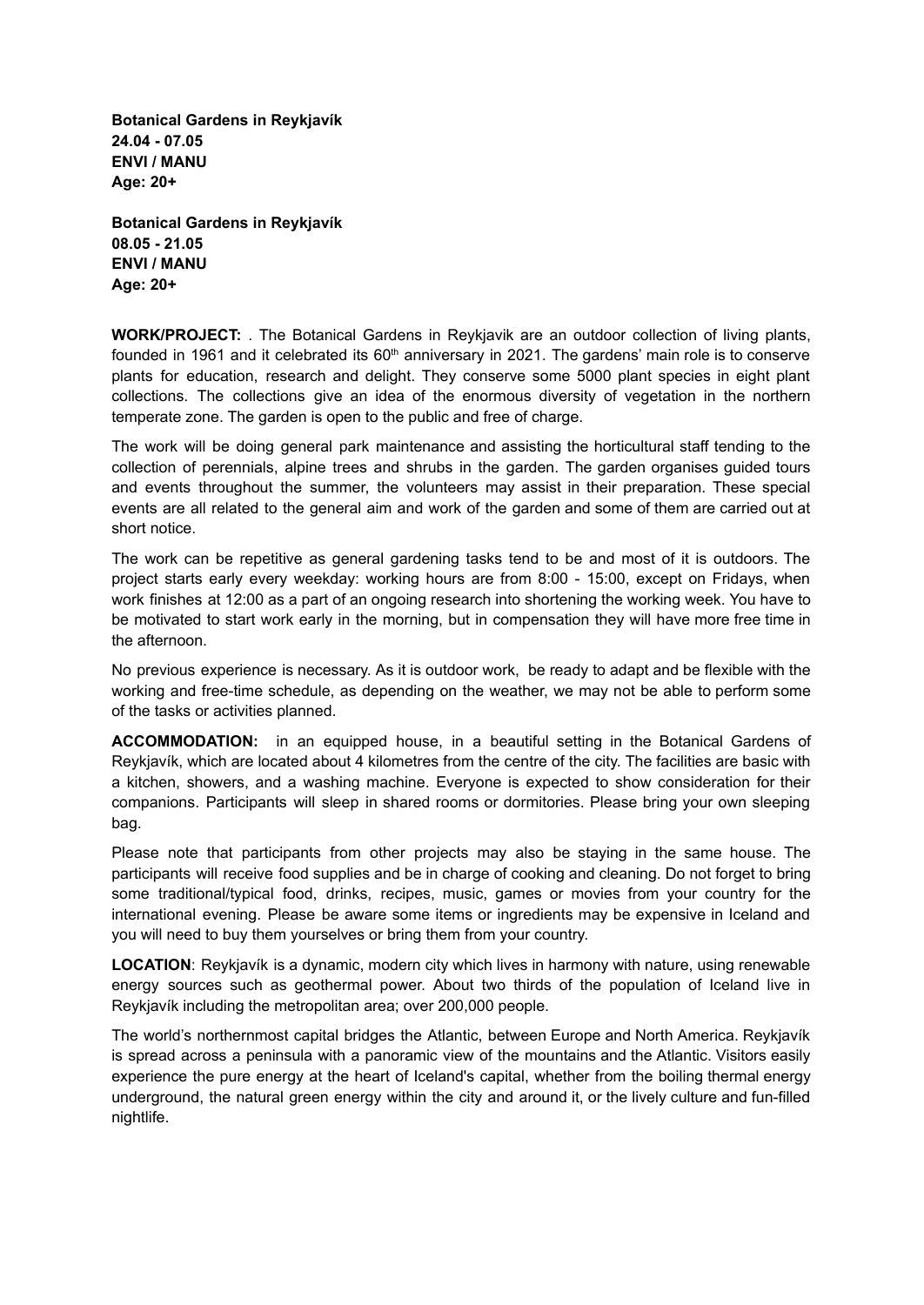**Botanical Gardens in Reykjavík 24.04 - 07.05 ENVI / MANU Age: 20+**

**Botanical Gardens in Reykjavík 08.05 - 21.05 ENVI / MANU Age: 20+**

**WORK/PROJECT:** . The Botanical Gardens in Reykjavik are an outdoor collection of living plants, founded in 1961 and it celebrated its 60<sup>th</sup> anniversary in 2021. The gardens' main role is to conserve plants for education, research and delight. They conserve some 5000 plant species in eight plant collections. The collections give an idea of the enormous diversity of vegetation in the northern temperate zone. The garden is open to the public and free of charge.

The work will be doing general park maintenance and assisting the horticultural staff tending to the collection of perennials, alpine trees and shrubs in the garden. The garden organises guided tours and events throughout the summer, the volunteers may assist in their preparation. These special events are all related to the general aim and work of the garden and some of them are carried out at short notice.

The work can be repetitive as general gardening tasks tend to be and most of it is outdoors. The project starts early every weekday: working hours are from 8:00 - 15:00, except on Fridays, when work finishes at 12:00 as a part of an ongoing research into shortening the working week. You have to be motivated to start work early in the morning, but in compensation they will have more free time in the afternoon.

No previous experience is necessary. As it is outdoor work, be ready to adapt and be flexible with the working and free-time schedule, as depending on the weather, we may not be able to perform some of the tasks or activities planned.

**ACCOMMODATION:** in an equipped house, in a beautiful setting in the Botanical Gardens of Reykjavík, which are located about 4 kilometres from the centre of the city. The facilities are basic with a kitchen, showers, and a washing machine. Everyone is expected to show consideration for their companions. Participants will sleep in shared rooms or dormitories. Please bring your own sleeping bag.

Please note that participants from other projects may also be staying in the same house. The participants will receive food supplies and be in charge of cooking and cleaning. Do not forget to bring some traditional/typical food, drinks, recipes, music, games or movies from your country for the international evening. Please be aware some items or ingredients may be expensive in Iceland and you will need to buy them yourselves or bring them from your country.

**LOCATION**: Reykjavík is a dynamic, modern city which lives in harmony with nature, using renewable energy sources such as geothermal power. About two thirds of the population of Iceland live in Reykjavík including the metropolitan area; over 200,000 people.

The world's northernmost capital bridges the Atlantic, between Europe and North America. Reykjavík is spread across a peninsula with a panoramic view of the mountains and the Atlantic. Visitors easily experience the pure energy at the heart of Iceland's capital, whether from the boiling thermal energy underground, the natural green energy within the city and around it, or the lively culture and fun-filled nightlife.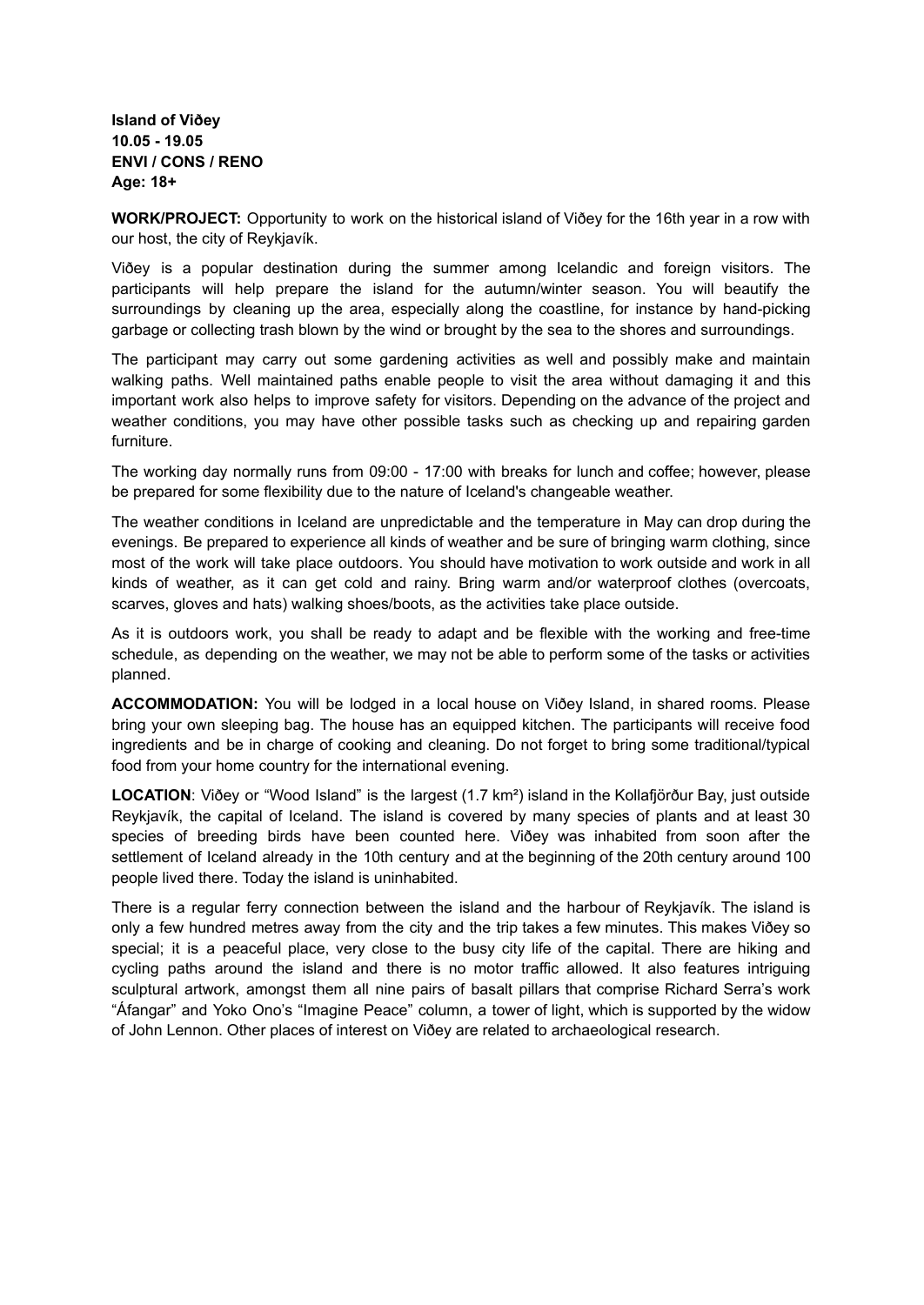**Island of Viðey 10.05 - 19.05 ENVI / CONS / RENO Age: 18+**

**WORK/PROJECT:** Opportunity to work on the historical island of Viðey for the 16th year in a row with our host, the city of Reykjavík.

Viðey is a popular destination during the summer among Icelandic and foreign visitors. The participants will help prepare the island for the autumn/winter season. You will beautify the surroundings by cleaning up the area, especially along the coastline, for instance by hand-picking garbage or collecting trash blown by the wind or brought by the sea to the shores and surroundings.

The participant may carry out some gardening activities as well and possibly make and maintain walking paths. Well maintained paths enable people to visit the area without damaging it and this important work also helps to improve safety for visitors. Depending on the advance of the project and weather conditions, you may have other possible tasks such as checking up and repairing garden furniture.

The working day normally runs from 09:00 - 17:00 with breaks for lunch and coffee; however, please be prepared for some flexibility due to the nature of Iceland's changeable weather.

The weather conditions in Iceland are unpredictable and the temperature in May can drop during the evenings. Be prepared to experience all kinds of weather and be sure of bringing warm clothing, since most of the work will take place outdoors. You should have motivation to work outside and work in all kinds of weather, as it can get cold and rainy. Bring warm and/or waterproof clothes (overcoats, scarves, gloves and hats) walking shoes/boots, as the activities take place outside.

As it is outdoors work, you shall be ready to adapt and be flexible with the working and free-time schedule, as depending on the weather, we may not be able to perform some of the tasks or activities planned.

**ACCOMMODATION:** You will be lodged in a local house on Viðey Island, in shared rooms. Please bring your own sleeping bag. The house has an equipped kitchen. The participants will receive food ingredients and be in charge of cooking and cleaning. Do not forget to bring some traditional/typical food from your home country for the international evening.

**LOCATION**: Viðey or "Wood Island" is the largest (1.7 km²) island in the Kollafjörður Bay, just outside Reykjavík, the capital of Iceland. The island is covered by many species of plants and at least 30 species of breeding birds have been counted here. Viðey was inhabited from soon after the settlement of Iceland already in the 10th century and at the beginning of the 20th century around 100 people lived there. Today the island is uninhabited.

There is a regular ferry connection between the island and the harbour of Reykjavík. The island is only a few hundred metres away from the city and the trip takes a few minutes. This makes Viðey so special; it is a peaceful place, very close to the busy city life of the capital. There are hiking and cycling paths around the island and there is no motor traffic allowed. It also features intriguing sculptural artwork, amongst them all nine pairs of basalt pillars that comprise Richard Serra's work "Áfangar" and Yoko Ono's "Imagine Peace" column, a tower of light, which is supported by the widow of John Lennon. Other places of interest on Viðey are related to archaeological research.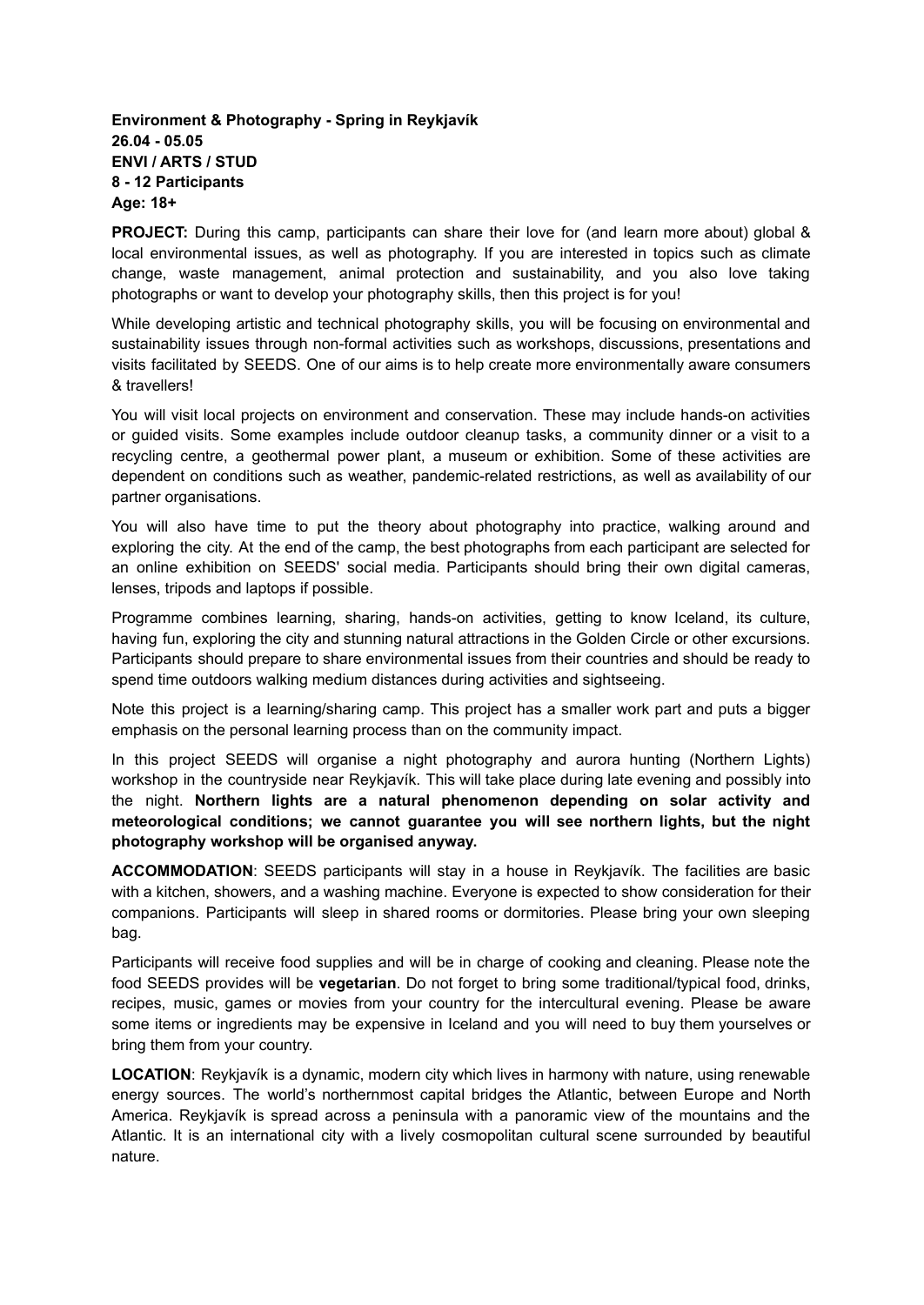## **Environment & Photography - Spring in Reykjavík 26.04 - 05.05 ENVI / ARTS / STUD 8 - 12 Participants Age: 18+**

**PROJECT:** During this camp, participants can share their love for (and learn more about) global & local environmental issues, as well as photography. If you are interested in topics such as climate change, waste management, animal protection and sustainability, and you also love taking photographs or want to develop your photography skills, then this project is for you!

While developing artistic and technical photography skills, you will be focusing on environmental and sustainability issues through non-formal activities such as workshops, discussions, presentations and visits facilitated by SEEDS. One of our aims is to help create more environmentally aware consumers & travellers!

You will visit local projects on environment and conservation. These may include hands-on activities or guided visits. Some examples include outdoor cleanup tasks, a community dinner or a visit to a recycling centre, a geothermal power plant, a museum or exhibition. Some of these activities are dependent on conditions such as weather, pandemic-related restrictions, as well as availability of our partner organisations.

You will also have time to put the theory about photography into practice, walking around and exploring the city. At the end of the camp, the best photographs from each participant are selected for an online exhibition on SEEDS' social media. Participants should bring their own digital cameras, lenses, tripods and laptops if possible.

Programme combines learning, sharing, hands-on activities, getting to know Iceland, its culture, having fun, exploring the city and stunning natural attractions in the Golden Circle or other excursions. Participants should prepare to share environmental issues from their countries and should be ready to spend time outdoors walking medium distances during activities and sightseeing.

Note this project is a learning/sharing camp. This project has a smaller work part and puts a bigger emphasis on the personal learning process than on the community impact.

In this project SEEDS will organise a night photography and aurora hunting (Northern Lights) workshop in the countryside near Reykjavík. This will take place during late evening and possibly into the night. **Northern lights are a natural phenomenon depending on solar activity and meteorological conditions; we cannot guarantee you will see northern lights, but the night photography workshop will be organised anyway.**

**ACCOMMODATION**: SEEDS participants will stay in a house in Reykjavík. The facilities are basic with a kitchen, showers, and a washing machine. Everyone is expected to show consideration for their companions. Participants will sleep in shared rooms or dormitories. Please bring your own sleeping bag.

Participants will receive food supplies and will be in charge of cooking and cleaning. Please note the food SEEDS provides will be **vegetarian**. Do not forget to bring some traditional/typical food, drinks, recipes, music, games or movies from your country for the intercultural evening. Please be aware some items or ingredients may be expensive in Iceland and you will need to buy them yourselves or bring them from your country.

**LOCATION**: Reykjavík is a dynamic, modern city which lives in harmony with nature, using renewable energy sources. The world's northernmost capital bridges the Atlantic, between Europe and North America. Reykjavík is spread across a peninsula with a panoramic view of the mountains and the Atlantic. It is an international city with a lively cosmopolitan cultural scene surrounded by beautiful nature.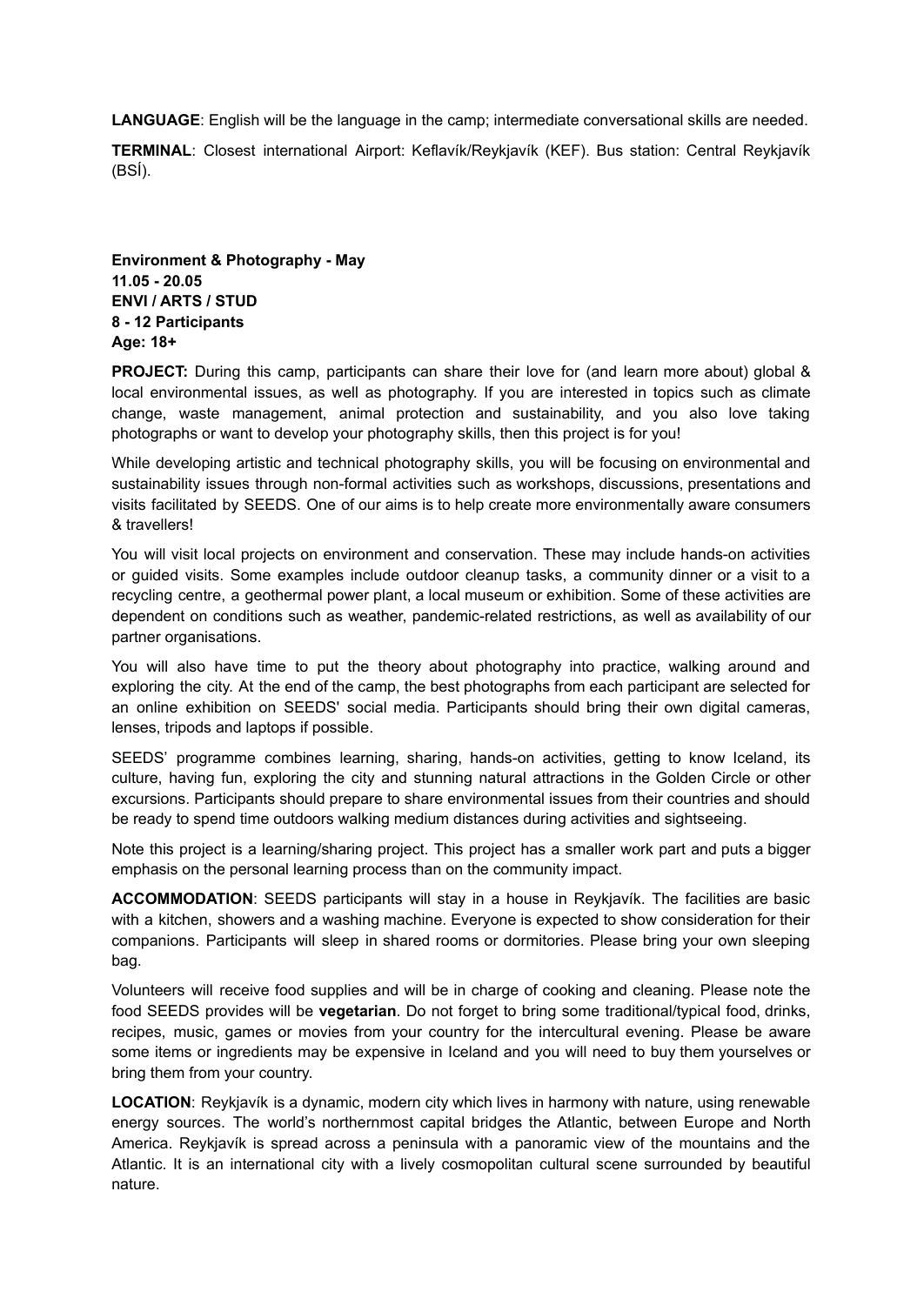**LANGUAGE**: English will be the language in the camp; intermediate conversational skills are needed.

**TERMINAL**: Closest international Airport: Keflavík/Reykjavík (KEF). Bus station: Central Reykjavík (BSÍ).

**Environment & Photography - May 11.05 - 20.05 ENVI / ARTS / STUD 8 - 12 Participants Age: 18+**

**PROJECT:** During this camp, participants can share their love for (and learn more about) global & local environmental issues, as well as photography. If you are interested in topics such as climate change, waste management, animal protection and sustainability, and you also love taking photographs or want to develop your photography skills, then this project is for you!

While developing artistic and technical photography skills, you will be focusing on environmental and sustainability issues through non-formal activities such as workshops, discussions, presentations and visits facilitated by SEEDS. One of our aims is to help create more environmentally aware consumers & travellers!

You will visit local projects on environment and conservation. These may include hands-on activities or guided visits. Some examples include outdoor cleanup tasks, a community dinner or a visit to a recycling centre, a geothermal power plant, a local museum or exhibition. Some of these activities are dependent on conditions such as weather, pandemic-related restrictions, as well as availability of our partner organisations.

You will also have time to put the theory about photography into practice, walking around and exploring the city. At the end of the camp, the best photographs from each participant are selected for an online exhibition on SEEDS' social media. Participants should bring their own digital cameras, lenses, tripods and laptops if possible.

SEEDS' programme combines learning, sharing, hands-on activities, getting to know Iceland, its culture, having fun, exploring the city and stunning natural attractions in the Golden Circle or other excursions. Participants should prepare to share environmental issues from their countries and should be ready to spend time outdoors walking medium distances during activities and sightseeing.

Note this project is a learning/sharing project. This project has a smaller work part and puts a bigger emphasis on the personal learning process than on the community impact.

**ACCOMMODATION**: SEEDS participants will stay in a house in Reykjavík. The facilities are basic with a kitchen, showers and a washing machine. Everyone is expected to show consideration for their companions. Participants will sleep in shared rooms or dormitories. Please bring your own sleeping bag.

Volunteers will receive food supplies and will be in charge of cooking and cleaning. Please note the food SEEDS provides will be **vegetarian**. Do not forget to bring some traditional/typical food, drinks, recipes, music, games or movies from your country for the intercultural evening. Please be aware some items or ingredients may be expensive in Iceland and you will need to buy them yourselves or bring them from your country.

**LOCATION**: Reykjavík is a dynamic, modern city which lives in harmony with nature, using renewable energy sources. The world's northernmost capital bridges the Atlantic, between Europe and North America. Reykjavík is spread across a peninsula with a panoramic view of the mountains and the Atlantic. It is an international city with a lively cosmopolitan cultural scene surrounded by beautiful nature.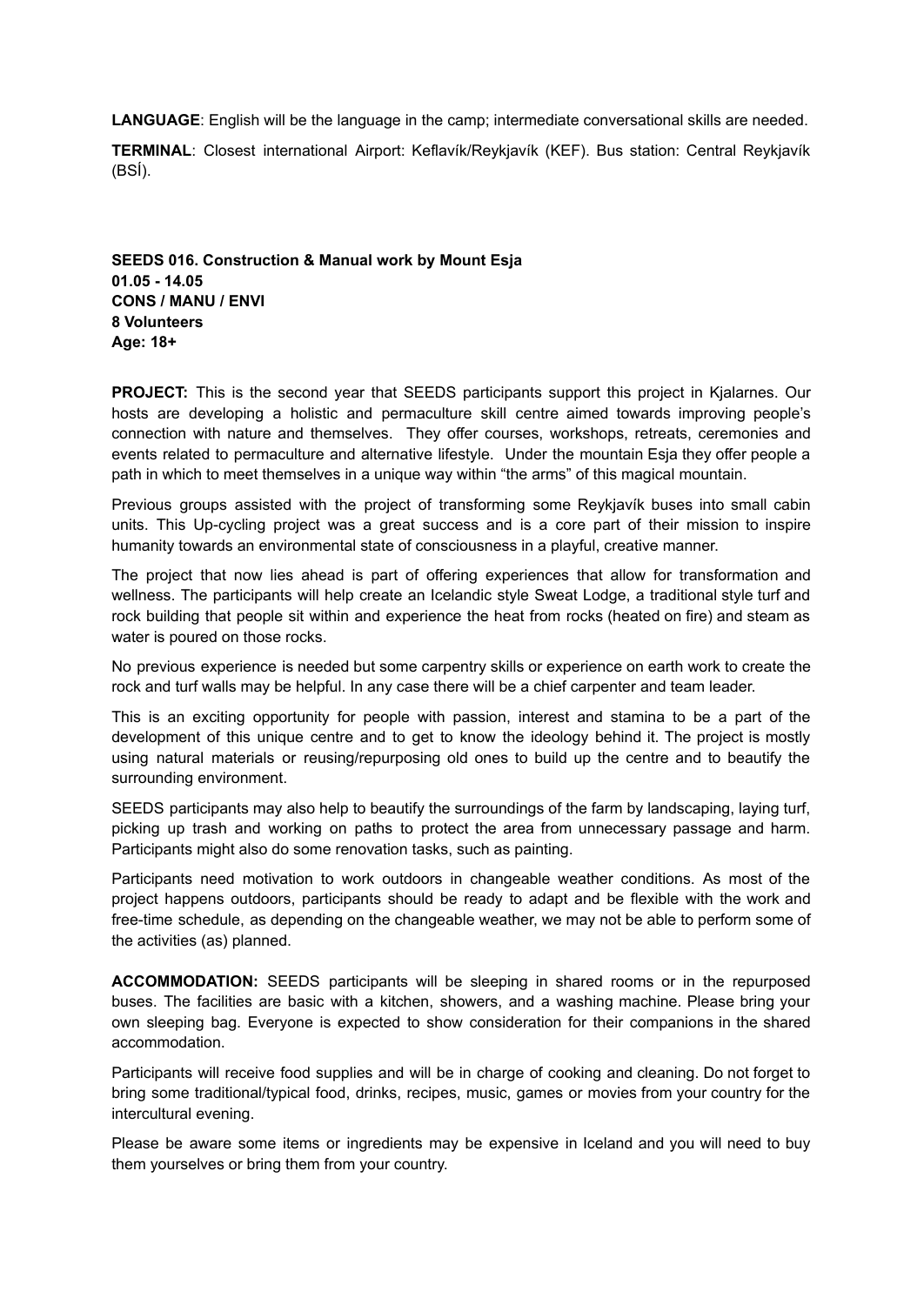**LANGUAGE**: English will be the language in the camp; intermediate conversational skills are needed.

**TERMINAL**: Closest international Airport: Keflavík/Reykjavík (KEF). Bus station: Central Reykjavík (BSÍ).

**SEEDS 016. Construction & Manual work by Mount Esja 01.05 - 14.05 CONS / MANU / ENVI 8 Volunteers Age: 18+**

**PROJECT:** This is the second year that SEEDS participants support this project in Kjalarnes. Our hosts are developing a holistic and permaculture skill centre aimed towards improving people's connection with nature and themselves. They offer courses, workshops, retreats, ceremonies and events related to permaculture and alternative lifestyle. Under the mountain Esja they offer people a path in which to meet themselves in a unique way within "the arms" of this magical mountain.

Previous groups assisted with the project of transforming some Reykjavík buses into small cabin units. This Up-cycling project was a great success and is a core part of their mission to inspire humanity towards an environmental state of consciousness in a playful, creative manner.

The project that now lies ahead is part of offering experiences that allow for transformation and wellness. The participants will help create an Icelandic style Sweat Lodge, a traditional style turf and rock building that people sit within and experience the heat from rocks (heated on fire) and steam as water is poured on those rocks.

No previous experience is needed but some carpentry skills or experience on earth work to create the rock and turf walls may be helpful. In any case there will be a chief carpenter and team leader.

This is an exciting opportunity for people with passion, interest and stamina to be a part of the development of this unique centre and to get to know the ideology behind it. The project is mostly using natural materials or reusing/repurposing old ones to build up the centre and to beautify the surrounding environment.

SEEDS participants may also help to beautify the surroundings of the farm by landscaping, laying turf, picking up trash and working on paths to protect the area from unnecessary passage and harm. Participants might also do some renovation tasks, such as painting.

Participants need motivation to work outdoors in changeable weather conditions. As most of the project happens outdoors, participants should be ready to adapt and be flexible with the work and free-time schedule, as depending on the changeable weather, we may not be able to perform some of the activities (as) planned.

**ACCOMMODATION:** SEEDS participants will be sleeping in shared rooms or in the repurposed buses. The facilities are basic with a kitchen, showers, and a washing machine. Please bring your own sleeping bag. Everyone is expected to show consideration for their companions in the shared accommodation.

Participants will receive food supplies and will be in charge of cooking and cleaning. Do not forget to bring some traditional/typical food, drinks, recipes, music, games or movies from your country for the intercultural evening.

Please be aware some items or ingredients may be expensive in Iceland and you will need to buy them yourselves or bring them from your country.